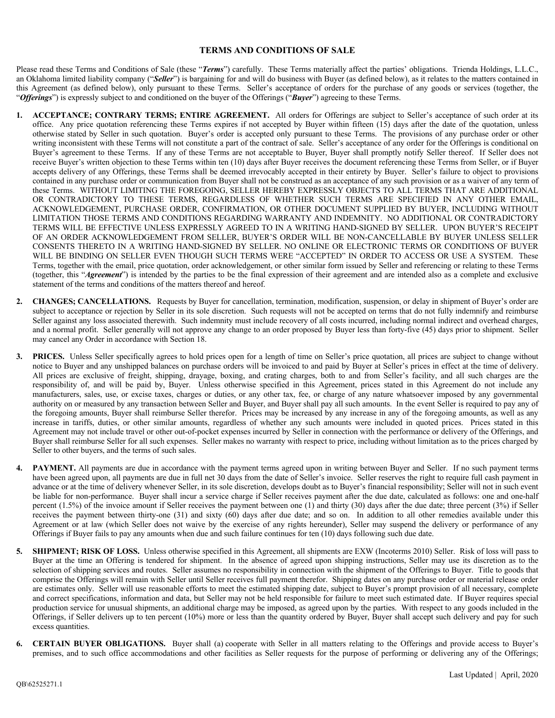## **TERMS AND CONDITIONS OF SALE**

Please read these Terms and Conditions of Sale (these "*Terms*") carefully. These Terms materially affect the parties' obligations. Trienda Holdings, L.L.C., an Oklahoma limited liability company ("*Seller*") is bargaining for and will do business with Buyer (as defined below), as it relates to the matters contained in this Agreement (as defined below), only pursuant to these Terms. Seller's acceptance of orders for the purchase of any goods or services (together, the "*Offerings*") is expressly subject to and conditioned on the buyer of the Offerings ("*Buyer*") agreeing to these Terms.

- **1. ACCEPTANCE; CONTRARY TERMS; ENTIRE AGREEMENT.** All orders for Offerings are subject to Seller's acceptance of such order at its office. Any price quotation referencing these Terms expires if not accepted by Buyer within fifteen (15) days after the date of the quotation, unless otherwise stated by Seller in such quotation. Buyer's order is accepted only pursuant to these Terms. The provisions of any purchase order or other writing inconsistent with these Terms will not constitute a part of the contract of sale. Seller's acceptance of any order for the Offerings is conditional on Buyer's agreement to these Terms. If any of these Terms are not acceptable to Buyer, Buyer shall promptly notify Seller thereof. If Seller does not receive Buyer's written objection to these Terms within ten (10) days after Buyer receives the document referencing these Terms from Seller, or if Buyer accepts delivery of any Offerings, these Terms shall be deemed irrevocably accepted in their entirety by Buyer. Seller's failure to object to provisions contained in any purchase order or communication from Buyer shall not be construed as an acceptance of any such provision or as a waiver of any term of these Terms. WITHOUT LIMITING THE FOREGOING, SELLER HEREBY EXPRESSLY OBJECTS TO ALL TERMS THAT ARE ADDITIONAL OR CONTRADICTORY TO THESE TERMS, REGARDLESS OF WHETHER SUCH TERMS ARE SPECIFIED IN ANY OTHER EMAIL, ACKNOWLEDGEMENT, PURCHASE ORDER, CONFIRMATION, OR OTHER DOCUMENT SUPPLIED BY BUYER, INCLUDING WITHOUT LIMITATION THOSE TERMS AND CONDITIONS REGARDING WARRANTY AND INDEMNITY. NO ADDITIONAL OR CONTRADICTORY TERMS WILL BE EFFECTIVE UNLESS EXPRESSLY AGREED TO IN A WRITING HAND-SIGNED BY SELLER. UPON BUYER'S RECEIPT OF AN ORDER ACKNOWLEDGEMENT FROM SELLER, BUYER'S ORDER WILL BE NON-CANCELLABLE BY BUYER UNLESS SELLER CONSENTS THERETO IN A WRITING HAND-SIGNED BY SELLER. NO ONLINE OR ELECTRONIC TERMS OR CONDITIONS OF BUYER WILL BE BINDING ON SELLER EVEN THOUGH SUCH TERMS WERE "ACCEPTED" IN ORDER TO ACCESS OR USE A SYSTEM. These Terms, together with the email, price quotation, order acknowledgement, or other similar form issued by Seller and referencing or relating to these Terms (together, this "*Agreement*") is intended by the parties to be the final expression of their agreement and are intended also as a complete and exclusive statement of the terms and conditions of the matters thereof and hereof.
- **2. CHANGES; CANCELLATIONS.** Requests by Buyer for cancellation, termination, modification, suspension, or delay in shipment of Buyer's order are subject to acceptance or rejection by Seller in its sole discretion. Such requests will not be accepted on terms that do not fully indemnify and reimburse Seller against any loss associated therewith. Such indemnity must include recovery of all costs incurred, including normal indirect and overhead charges, and a normal profit. Seller generally will not approve any change to an order proposed by Buyer less than forty-five (45) days prior to shipment. Seller may cancel any Order in accordance with Section 18.
- **PRICES.** Unless Seller specifically agrees to hold prices open for a length of time on Seller's price quotation, all prices are subject to change without notice to Buyer and any unshipped balances on purchase orders will be invoiced to and paid by Buyer at Seller's prices in effect at the time of delivery. All prices are exclusive of freight, shipping, drayage, boxing, and crating charges, both to and from Seller's facility, and all such charges are the responsibility of, and will be paid by, Buyer. Unless otherwise specified in this Agreement, prices stated in this Agreement do not include any manufacturers, sales, use, or excise taxes, charges or duties, or any other tax, fee, or charge of any nature whatsoever imposed by any governmental authority on or measured by any transaction between Seller and Buyer, and Buyer shall pay all such amounts. In the event Seller is required to pay any of the foregoing amounts, Buyer shall reimburse Seller therefor. Prices may be increased by any increase in any of the foregoing amounts, as well as any increase in tariffs, duties, or other similar amounts, regardless of whether any such amounts were included in quoted prices. Prices stated in this Agreement may not include travel or other out-of-pocket expenses incurred by Seller in connection with the performance or delivery of the Offerings, and Buyer shall reimburse Seller for all such expenses. Seller makes no warranty with respect to price, including without limitation as to the prices charged by Seller to other buyers, and the terms of such sales.
- **PAYMENT.** All payments are due in accordance with the payment terms agreed upon in writing between Buyer and Seller. If no such payment terms have been agreed upon, all payments are due in full net 30 days from the date of Seller's invoice. Seller reserves the right to require full cash payment in advance or at the time of delivery whenever Seller, in its sole discretion, develops doubt as to Buyer's financial responsibility; Seller will not in such event be liable for non-performance. Buyer shall incur a service charge if Seller receives payment after the due date, calculated as follows: one and one-half percent (1.5%) of the invoice amount if Seller receives the payment between one (1) and thirty (30) days after the due date; three percent (3%) if Seller receives the payment between thirty-one (31) and sixty (60) days after due date; and so on. In addition to all other remedies available under this Agreement or at law (which Seller does not waive by the exercise of any rights hereunder), Seller may suspend the delivery or performance of any Offerings if Buyer fails to pay any amounts when due and such failure continues for ten (10) days following such due date.
- **5. SHIPMENT; RISK OF LOSS.** Unless otherwise specified in this Agreement, all shipments are EXW (Incoterms 2010) Seller. Risk of loss will pass to Buyer at the time an Offering is tendered for shipment. In the absence of agreed upon shipping instructions, Seller may use its discretion as to the selection of shipping services and routes. Seller assumes no responsibility in connection with the shipment of the Offerings to Buyer. Title to goods that comprise the Offerings will remain with Seller until Seller receives full payment therefor. Shipping dates on any purchase order or material release order are estimates only. Seller will use reasonable efforts to meet the estimated shipping date, subject to Buyer's prompt provision of all necessary, complete and correct specifications, information and data, but Seller may not be held responsible for failure to meet such estimated date. If Buyer requires special production service for unusual shipments, an additional charge may be imposed, as agreed upon by the parties. With respect to any goods included in the Offerings, if Seller delivers up to ten percent (10%) more or less than the quantity ordered by Buyer, Buyer shall accept such delivery and pay for such excess quantities.
- **6. CERTAIN BUYER OBLIGATIONS.** Buyer shall (a) cooperate with Seller in all matters relating to the Offerings and provide access to Buyer's premises, and to such office accommodations and other facilities as Seller requests for the purpose of performing or delivering any of the Offerings;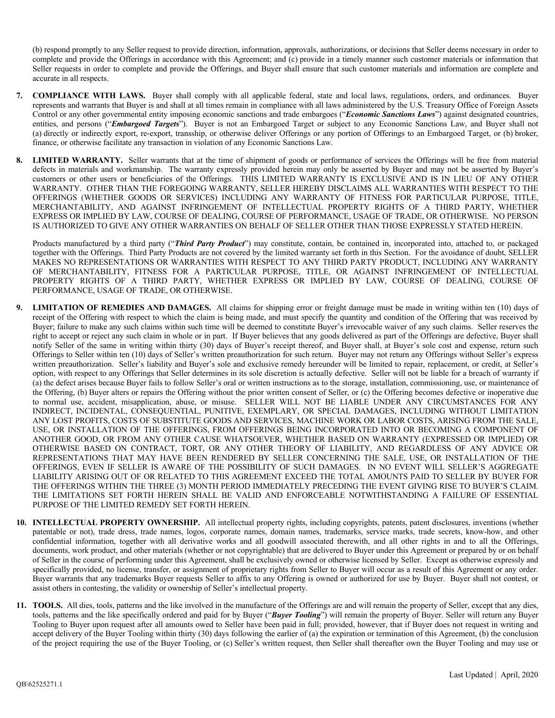(b) respond promptly to any Seller request to provide direction, information, approvals, authorizations, or decisions that Seller deems necessary in order to complete and provide the Offerings in accordance with this Agreement; and (c) provide in a timely manner such customer materials or information that Seller requests in order to complete and provide the Offerings, and Buyer shall ensure that such customer materials and information are complete and accurate in all respects.

- **7. COMPLIANCE WITH LAWS.** Buyer shall comply with all applicable federal, state and local laws, regulations, orders, and ordinances. Buyer represents and warrants that Buyer is and shall at all times remain in compliance with all laws administered by the U.S. Treasury Office of Foreign Assets Control or any other governmental entity imposing economic sanctions and trade embargoes ("*Economic Sanctions Laws*") against designated countries, entities, and persons ("*Embargoed Targets*"). Buyer is not an Embargoed Target or subject to any Economic Sanctions Law, and Buyer shall not (a) directly or indirectly export, re-export, transship, or otherwise deliver Offerings or any portion of Offerings to an Embargoed Target, or (b) broker, finance, or otherwise facilitate any transaction in violation of any Economic Sanctions Law.
- **8. LIMITED WARRANTY.** Seller warrants that at the time of shipment of goods or performance of services the Offerings will be free from material defects in materials and workmanship. The warranty expressly provided herein may only be asserted by Buyer and may not be asserted by Buyer's customers or other users or beneficiaries of the Offerings. THIS LIMITED WARRANTY IS EXCLUSIVE AND IS IN LIEU OF ANY OTHER WARRANTY. OTHER THAN THE FOREGOING WARRANTY, SELLER HEREBY DISCLAIMS ALL WARRANTIES WITH RESPECT TO THE OFFERINGS (WHETHER GOODS OR SERVICES) INCLUDING ANY WARRANTY OF FITNESS FOR PARTICULAR PURPOSE, TITLE, MERCHANTABILITY, AND AGAINST INFRINGEMENT OF INTELLECTUAL PROPERTY RIGHTS OF A THIRD PARTY, WHETHER EXPRESS OR IMPLIED BY LAW, COURSE OF DEALING, COURSE OF PERFORMANCE, USAGE OF TRADE, OR OTHERWISE. NO PERSON IS AUTHORIZED TO GIVE ANY OTHER WARRANTIES ON BEHALF OF SELLER OTHER THAN THOSE EXPRESSLY STATED HEREIN.

Products manufactured by a third party ("*Third Party Product*") may constitute, contain, be contained in, incorporated into, attached to, or packaged together with the Offerings. Third Party Products are not covered by the limited warranty set forth in this Section. For the avoidance of doubt, SELLER MAKES NO REPRESENTATIONS OR WARRANTIES WITH RESPECT TO ANY THIRD PARTY PRODUCT, INCLUDING ANY WARRANTY OF MERCHANTABILITY, FITNESS FOR A PARTICULAR PURPOSE, TITLE, OR AGAINST INFRINGEMENT OF INTELLECTUAL PROPERTY RIGHTS OF A THIRD PARTY, WHETHER EXPRESS OR IMPLIED BY LAW, COURSE OF DEALING, COURSE OF PERFORMANCE, USAGE OF TRADE, OR OTHERWISE.

- **9. LIMITATION OF REMEDIES AND DAMAGES.** All claims for shipping error or freight damage must be made in writing within ten (10) days of receipt of the Offering with respect to which the claim is being made, and must specify the quantity and condition of the Offering that was received by Buyer; failure to make any such claims within such time will be deemed to constitute Buyer's irrevocable waiver of any such claims. Seller reserves the right to accept or reject any such claim in whole or in part. If Buyer believes that any goods delivered as part of the Offerings are defective, Buyer shall notify Seller of the same in writing within thirty (30) days of Buyer's receipt thereof, and Buyer shall, at Buyer's sole cost and expense, return such Offerings to Seller within ten (10) days of Seller's written preauthorization for such return. Buyer may not return any Offerings without Seller's express written preauthorization. Seller's liability and Buyer's sole and exclusive remedy hereunder will be limited to repair, replacement, or credit, at Seller's option, with respect to any Offerings that Seller determines in its sole discretion is actually defective. Seller will not be liable for a breach of warranty if (a) the defect arises because Buyer fails to follow Seller's oral or written instructions as to the storage, installation, commissioning, use, or maintenance of the Offering, (b) Buyer alters or repairs the Offering without the prior written consent of Seller, or (c) the Offering becomes defective or inoperative due to normal use, accident, misapplication, abuse, or misuse. SELLER WILL NOT BE LIABLE UNDER ANY CIRCUMSTANCES FOR ANY INDIRECT, INCIDENTAL, CONSEQUENTIAL, PUNITIVE, EXEMPLARY, OR SPECIAL DAMAGES, INCLUDING WITHOUT LIMITATION ANY LOST PROFITS, COSTS OF SUBSTITUTE GOODS AND SERVICES, MACHINE WORK OR LABOR COSTS, ARISING FROM THE SALE, USE, OR INSTALLATION OF THE OFFERINGS, FROM OFFERINGS BEING INCORPORATED INTO OR BECOMING A COMPONENT OF ANOTHER GOOD, OR FROM ANY OTHER CAUSE WHATSOEVER, WHETHER BASED ON WARRANTY (EXPRESSED OR IMPLIED) OR OTHERWISE BASED ON CONTRACT, TORT, OR ANY OTHER THEORY OF LIABILITY, AND REGARDLESS OF ANY ADVICE OR REPRESENTATIONS THAT MAY HAVE BEEN RENDERED BY SELLER CONCERNING THE SALE, USE, OR INSTALLATION OF THE OFFERINGS, EVEN IF SELLER IS AWARE OF THE POSSIBILITY OF SUCH DAMAGES. IN NO EVENT WILL SELLER'S AGGREGATE LIABILITY ARISING OUT OF OR RELATED TO THIS AGREEMENT EXCEED THE TOTAL AMOUNTS PAID TO SELLER BY BUYER FOR THE OFFERINGS WITHIN THE THREE (3) MONTH PERIOD IMMEDIATELY PRECEDING THE EVENT GIVING RISE TO BUYER'S CLAIM. THE LIMITATIONS SET FORTH HEREIN SHALL BE VALID AND ENFORCEABLE NOTWITHSTANDING A FAILURE OF ESSENTIAL PURPOSE OF THE LIMITED REMEDY SET FORTH HEREIN.
- 10. **INTELLECTUAL PROPERTY OWNERSHIP.** All intellectual property rights, including copyrights, patents, patent disclosures, inventions (whether patentable or not), trade dress, trade names, logos, corporate names, domain names, trademarks, service marks, trade secrets, know-how, and other confidential information, together with all derivative works and all goodwill associated therewith, and all other rights in and to all the Offerings, documents, work product, and other materials (whether or not copyrightable) that are delivered to Buyer under this Agreement or prepared by or on behalf of Seller in the course of performing under this Agreement, shall be exclusively owned or otherwise licensed by Seller. Except as otherwise expressly and specifically provided, no license, transfer, or assignment of proprietary rights from Seller to Buyer will occur as a result of this Agreement or any order. Buyer warrants that any trademarks Buyer requests Seller to affix to any Offering is owned or authorized for use by Buyer. Buyer shall not contest, or assist others in contesting, the validity or ownership of Seller's intellectual property.
- **11. TOOLS.** All dies, tools, patterns and the like involved in the manufacture of the Offerings are and will remain the property of Seller, except that any dies, tools, patterns and the like specifically ordered and paid for by Buyer ("*Buyer Tooling*") will remain the property of Buyer. Seller will return any Buyer Tooling to Buyer upon request after all amounts owed to Seller have been paid in full; provided, however, that if Buyer does not request in writing and accept delivery of the Buyer Tooling within thirty (30) days following the earlier of (a) the expiration or termination of this Agreement, (b) the conclusion of the project requiring the use of the Buyer Tooling, or (c) Seller's written request, then Seller shall thereafter own the Buyer Tooling and may use or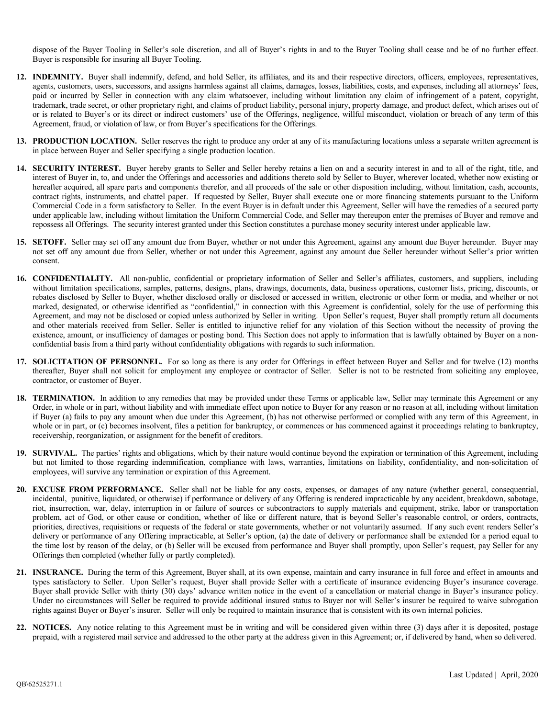dispose of the Buyer Tooling in Seller's sole discretion, and all of Buyer's rights in and to the Buyer Tooling shall cease and be of no further effect. Buyer is responsible for insuring all Buyer Tooling.

- **12. INDEMNITY.** Buyer shall indemnify, defend, and hold Seller, its affiliates, and its and their respective directors, officers, employees, representatives, agents, customers, users, successors, and assigns harmless against all claims, damages, losses, liabilities, costs, and expenses, including all attorneys' fees, paid or incurred by Seller in connection with any claim whatsoever, including without limitation any claim of infringement of a patent, copyright, trademark, trade secret, or other proprietary right, and claims of product liability, personal injury, property damage, and product defect, which arises out of or is related to Buyer's or its direct or indirect customers' use of the Offerings, negligence, willful misconduct, violation or breach of any term of this Agreement, fraud, or violation of law, or from Buyer's specifications for the Offerings.
- 13. **PRODUCTION LOCATION.** Seller reserves the right to produce any order at any of its manufacturing locations unless a separate written agreement is in place between Buyer and Seller specifying a single production location.
- **14. SECURITY INTEREST.** Buyer hereby grants to Seller and Seller hereby retains a lien on and a security interest in and to all of the right, title, and interest of Buyer in, to, and under the Offerings and accessories and additions thereto sold by Seller to Buyer, wherever located, whether now existing or hereafter acquired, all spare parts and components therefor, and all proceeds of the sale or other disposition including, without limitation, cash, accounts, contract rights, instruments, and chattel paper. If requested by Seller, Buyer shall execute one or more financing statements pursuant to the Uniform Commercial Code in a form satisfactory to Seller. In the event Buyer is in default under this Agreement, Seller will have the remedies of a secured party under applicable law, including without limitation the Uniform Commercial Code, and Seller may thereupon enter the premises of Buyer and remove and repossess all Offerings. The security interest granted under this Section constitutes a purchase money security interest under applicable law.
- **15. SETOFF.** Seller may set off any amount due from Buyer, whether or not under this Agreement, against any amount due Buyer hereunder. Buyer may not set off any amount due from Seller, whether or not under this Agreement, against any amount due Seller hereunder without Seller's prior written consent.
- **16. CONFIDENTIALITY.** All non-public, confidential or proprietary information of Seller and Seller's affiliates, customers, and suppliers, including without limitation specifications, samples, patterns, designs, plans, drawings, documents, data, business operations, customer lists, pricing, discounts, or rebates disclosed by Seller to Buyer, whether disclosed orally or disclosed or accessed in written, electronic or other form or media, and whether or not marked, designated, or otherwise identified as "confidential," in connection with this Agreement is confidential, solely for the use of performing this Agreement, and may not be disclosed or copied unless authorized by Seller in writing. Upon Seller's request, Buyer shall promptly return all documents and other materials received from Seller. Seller is entitled to injunctive relief for any violation of this Section without the necessity of proving the existence, amount, or insufficiency of damages or posting bond. This Section does not apply to information that is lawfully obtained by Buyer on a nonconfidential basis from a third party without confidentiality obligations with regards to such information.
- **17. SOLICITATION OF PERSONNEL.** For so long as there is any order for Offerings in effect between Buyer and Seller and for twelve (12) months thereafter, Buyer shall not solicit for employment any employee or contractor of Seller. Seller is not to be restricted from soliciting any employee, contractor, or customer of Buyer.
- **18. TERMINATION.** In addition to any remedies that may be provided under these Terms or applicable law, Seller may terminate this Agreement or any Order, in whole or in part, without liability and with immediate effect upon notice to Buyer for any reason or no reason at all, including without limitation if Buyer (a) fails to pay any amount when due under this Agreement, (b) has not otherwise performed or complied with any term of this Agreement, in whole or in part, or (c) becomes insolvent, files a petition for bankruptcy, or commences or has commenced against it proceedings relating to bankruptcy, receivership, reorganization, or assignment for the benefit of creditors.
- **19. SURVIVAL.** The parties' rights and obligations, which by their nature would continue beyond the expiration or termination of this Agreement, including but not limited to those regarding indemnification, compliance with laws, warranties, limitations on liability, confidentiality, and non-solicitation of employees, will survive any termination or expiration of this Agreement.
- **20. EXCUSE FROM PERFORMANCE.** Seller shall not be liable for any costs, expenses, or damages of any nature (whether general, consequential, incidental, punitive, liquidated, or otherwise) if performance or delivery of any Offering is rendered impracticable by any accident, breakdown, sabotage, riot, insurrection, war, delay, interruption in or failure of sources or subcontractors to supply materials and equipment, strike, labor or transportation problem, act of God, or other cause or condition, whether of like or different nature, that is beyond Seller's reasonable control, or orders, contracts, priorities, directives, requisitions or requests of the federal or state governments, whether or not voluntarily assumed. If any such event renders Seller's delivery or performance of any Offering impracticable, at Seller's option, (a) the date of delivery or performance shall be extended for a period equal to the time lost by reason of the delay, or (b) Seller will be excused from performance and Buyer shall promptly, upon Seller's request, pay Seller for any Offerings then completed (whether fully or partly completed).
- **21. INSURANCE.** During the term of this Agreement, Buyer shall, at its own expense, maintain and carry insurance in full force and effect in amounts and types satisfactory to Seller. Upon Seller's request, Buyer shall provide Seller with a certificate of insurance evidencing Buyer's insurance coverage. Buyer shall provide Seller with thirty (30) days' advance written notice in the event of a cancellation or material change in Buyer's insurance policy. Under no circumstances will Seller be required to provide additional insured status to Buyer nor will Seller's insurer be required to waive subrogation rights against Buyer or Buyer's insurer. Seller will only be required to maintain insurance that is consistent with its own internal policies.
- **22. NOTICES.** Any notice relating to this Agreement must be in writing and will be considered given within three (3) days after it is deposited, postage prepaid, with a registered mail service and addressed to the other party at the address given in this Agreement; or, if delivered by hand, when so delivered.